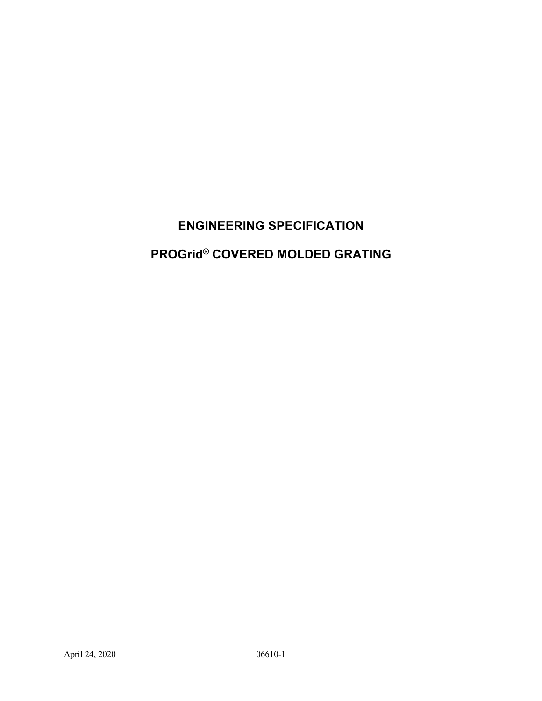# **ENGINEERING SPECIFICATION**

# **PROGrid® COVERED MOLDED GRATING**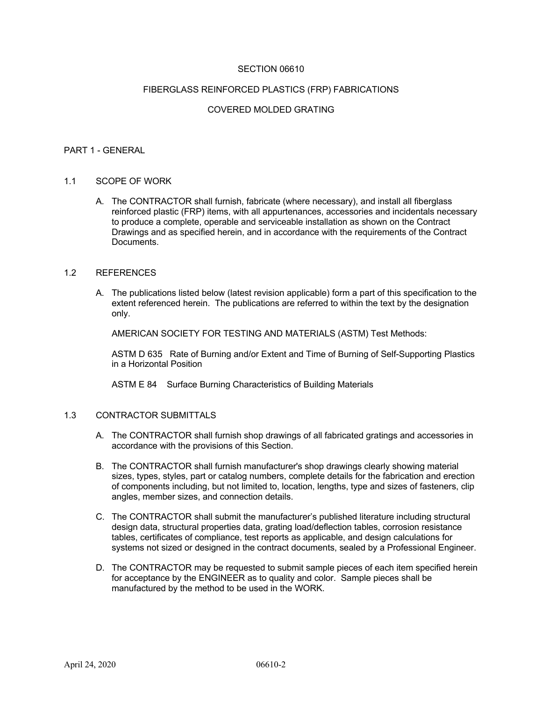#### SECTION 06610

#### FIBERGLASS REINFORCED PLASTICS (FRP) FABRICATIONS

#### COVERED MOLDED GRATING

#### PART 1 - GENERAL

#### 1.1 SCOPE OF WORK

A. The CONTRACTOR shall furnish, fabricate (where necessary), and install all fiberglass reinforced plastic (FRP) items, with all appurtenances, accessories and incidentals necessary to produce a complete, operable and serviceable installation as shown on the Contract Drawings and as specified herein, and in accordance with the requirements of the Contract **Documents** 

#### 1.2 REFERENCES

A. The publications listed below (latest revision applicable) form a part of this specification to the extent referenced herein. The publications are referred to within the text by the designation only.

AMERICAN SOCIETY FOR TESTING AND MATERIALS (ASTM) Test Methods:

ASTM D 635 Rate of Burning and/or Extent and Time of Burning of Self-Supporting Plastics in a Horizontal Position

ASTM E 84 Surface Burning Characteristics of Building Materials

#### 1.3 CONTRACTOR SUBMITTALS

- A. The CONTRACTOR shall furnish shop drawings of all fabricated gratings and accessories in accordance with the provisions of this Section.
- B. The CONTRACTOR shall furnish manufacturer's shop drawings clearly showing material sizes, types, styles, part or catalog numbers, complete details for the fabrication and erection of components including, but not limited to, location, lengths, type and sizes of fasteners, clip angles, member sizes, and connection details.
- C. The CONTRACTOR shall submit the manufacturer's published literature including structural design data, structural properties data, grating load/deflection tables, corrosion resistance tables, certificates of compliance, test reports as applicable, and design calculations for systems not sized or designed in the contract documents, sealed by a Professional Engineer.
- D. The CONTRACTOR may be requested to submit sample pieces of each item specified herein for acceptance by the ENGINEER as to quality and color. Sample pieces shall be manufactured by the method to be used in the WORK.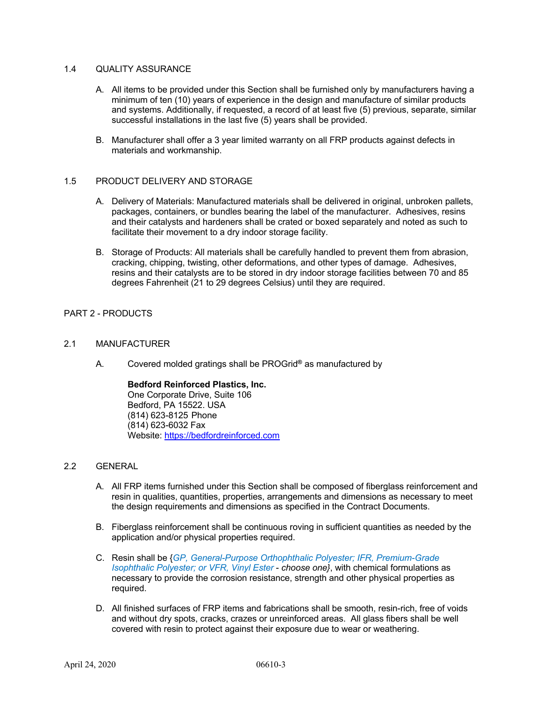#### 1.4 QUALITY ASSURANCE

- A. All items to be provided under this Section shall be furnished only by manufacturers having a minimum of ten (10) years of experience in the design and manufacture of similar products and systems. Additionally, if requested, a record of at least five (5) previous, separate, similar successful installations in the last five (5) years shall be provided.
- B. Manufacturer shall offer a 3 year limited warranty on all FRP products against defects in materials and workmanship.

#### 1.5 PRODUCT DELIVERY AND STORAGE

- A. Delivery of Materials: Manufactured materials shall be delivered in original, unbroken pallets, packages, containers, or bundles bearing the label of the manufacturer. Adhesives, resins and their catalysts and hardeners shall be crated or boxed separately and noted as such to facilitate their movement to a dry indoor storage facility.
- B. Storage of Products: All materials shall be carefully handled to prevent them from abrasion, cracking, chipping, twisting, other deformations, and other types of damage. Adhesives, resins and their catalysts are to be stored in dry indoor storage facilities between 70 and 85 degrees Fahrenheit (21 to 29 degrees Celsius) until they are required.

#### PART 2 - PRODUCTS

#### 2.1 MANUFACTURER

A. Covered molded gratings shall be PROGrid**®** as manufactured by

**Bedford Reinforced Plastics, Inc.** One Corporate Drive, Suite 106 Bedford, PA 15522. USA (814) 623-8125 Phone (814) 623-6032 Fax Website: https://bedfordreinforced.com

#### 2.2 GENERAL

- A. All FRP items furnished under this Section shall be composed of fiberglass reinforcement and resin in qualities, quantities, properties, arrangements and dimensions as necessary to meet the design requirements and dimensions as specified in the Contract Documents.
- B. Fiberglass reinforcement shall be continuous roving in sufficient quantities as needed by the application and/or physical properties required.
- C. Resin shall be {*GP, General-Purpose Orthophthalic Polyester; IFR, Premium-Grade Isophthalic Polyester; or VFR, Vinyl Ester* - *choose one}*, with chemical formulations as necessary to provide the corrosion resistance, strength and other physical properties as required.
- D. All finished surfaces of FRP items and fabrications shall be smooth, resin-rich, free of voids and without dry spots, cracks, crazes or unreinforced areas. All glass fibers shall be well covered with resin to protect against their exposure due to wear or weathering.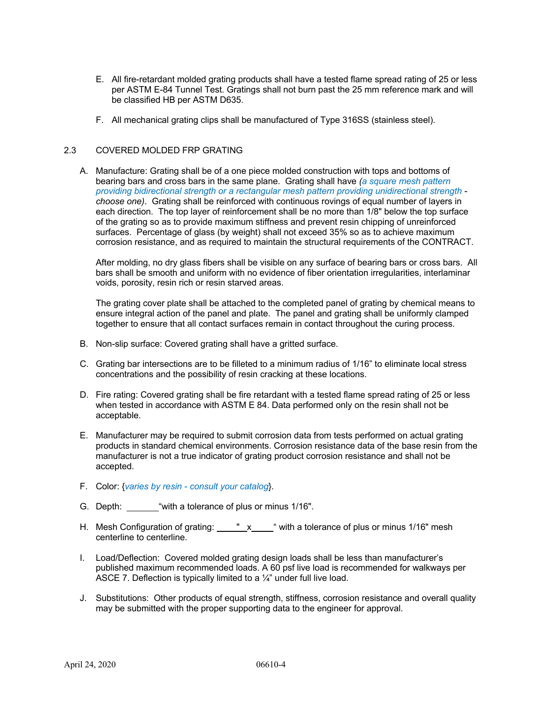- E. All fire-retardant molded grating products shall have a tested flame spread rating of 25 or less per ASTM E-84 Tunnel Test. Gratings shall not burn past the 25 mm reference mark and will be classified HB per ASTM D635.
- F. All mechanical grating clips shall be manufactured of Type 316SS (stainless steel).

#### 2.3 COVERED MOLDED FRP GRATING

A. Manufacture: Grating shall be of a one piece molded construction with tops and bottoms of bearing bars and cross bars in the same plane. Grating shall have *(a square mesh pattern providing bidirectional strength or a rectangular mesh pattern providing unidirectional strength choose one)*. Grating shall be reinforced with continuous rovings of equal number of layers in each direction. The top layer of reinforcement shall be no more than 1/8" below the top surface of the grating so as to provide maximum stiffness and prevent resin chipping of unreinforced surfaces. Percentage of glass (by weight) shall not exceed 35% so as to achieve maximum corrosion resistance, and as required to maintain the structural requirements of the CONTRACT.

After molding, no dry glass fibers shall be visible on any surface of bearing bars or cross bars. All bars shall be smooth and uniform with no evidence of fiber orientation irregularities, interlaminar voids, porosity, resin rich or resin starved areas.

The grating cover plate shall be attached to the completed panel of grating by chemical means to ensure integral action of the panel and plate. The panel and grating shall be uniformly clamped together to ensure that all contact surfaces remain in contact throughout the curing process.

- B. Non-slip surface: Covered grating shall have a gritted surface.
- C. Grating bar intersections are to be filleted to a minimum radius of 1/16" to eliminate local stress concentrations and the possibility of resin cracking at these locations.
- D. Fire rating: Covered grating shall be fire retardant with a tested flame spread rating of 25 or less when tested in accordance with ASTM E 84. Data performed only on the resin shall not be acceptable.
- E. Manufacturer may be required to submit corrosion data from tests performed on actual grating products in standard chemical environments. Corrosion resistance data of the base resin from the manufacturer is not a true indicator of grating product corrosion resistance and shall not be accepted.
- F. Color: {*varies by resin consult your catalog*}.
- G. Depth: "with a tolerance of plus or minus 1/16".
- H. Mesh Configuration of grating:  $\frac{v}{x}$   $\frac{x}{y}$  with a tolerance of plus or minus 1/16" mesh centerline to centerline.
- I. Load/Deflection: Covered molded grating design loads shall be less than manufacturer's published maximum recommended loads. A 60 psf live load is recommended for walkways per ASCE 7. Deflection is typically limited to a 1/4" under full live load.
- J. Substitutions: Other products of equal strength, stiffness, corrosion resistance and overall quality may be submitted with the proper supporting data to the engineer for approval.